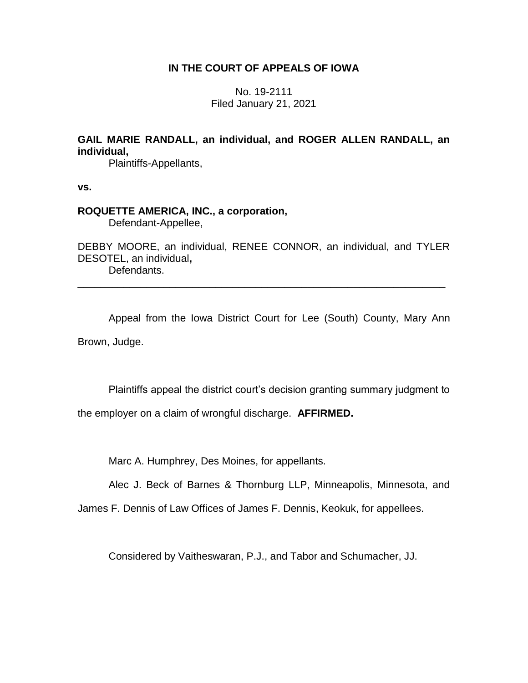# **IN THE COURT OF APPEALS OF IOWA**

No. 19-2111 Filed January 21, 2021

**GAIL MARIE RANDALL, an individual, and ROGER ALLEN RANDALL, an individual,**

Plaintiffs-Appellants,

**vs.**

# **ROQUETTE AMERICA, INC., a corporation,**

Defendant-Appellee,

DEBBY MOORE, an individual, RENEE CONNOR, an individual, and TYLER DESOTEL, an individual**,** Defendants.

\_\_\_\_\_\_\_\_\_\_\_\_\_\_\_\_\_\_\_\_\_\_\_\_\_\_\_\_\_\_\_\_\_\_\_\_\_\_\_\_\_\_\_\_\_\_\_\_\_\_\_\_\_\_\_\_\_\_\_\_\_\_\_\_

Appeal from the Iowa District Court for Lee (South) County, Mary Ann Brown, Judge.

Plaintiffs appeal the district court's decision granting summary judgment to

the employer on a claim of wrongful discharge. **AFFIRMED.**

Marc A. Humphrey, Des Moines, for appellants.

Alec J. Beck of Barnes & Thornburg LLP, Minneapolis, Minnesota, and

James F. Dennis of Law Offices of James F. Dennis, Keokuk, for appellees.

Considered by Vaitheswaran, P.J., and Tabor and Schumacher, JJ.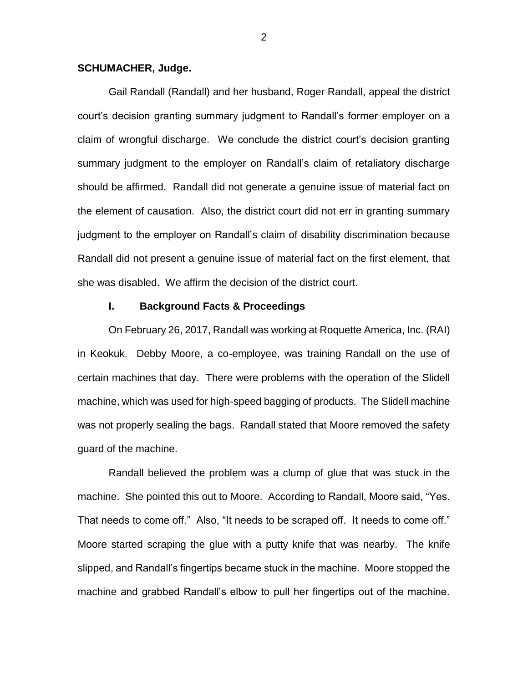### **SCHUMACHER, Judge.**

Gail Randall (Randall) and her husband, Roger Randall, appeal the district court's decision granting summary judgment to Randall's former employer on a claim of wrongful discharge. We conclude the district court's decision granting summary judgment to the employer on Randall's claim of retaliatory discharge should be affirmed. Randall did not generate a genuine issue of material fact on the element of causation. Also, the district court did not err in granting summary judgment to the employer on Randall's claim of disability discrimination because Randall did not present a genuine issue of material fact on the first element, that she was disabled. We affirm the decision of the district court.

#### **I. Background Facts & Proceedings**

On February 26, 2017, Randall was working at Roquette America, Inc. (RAI) in Keokuk. Debby Moore, a co-employee, was training Randall on the use of certain machines that day. There were problems with the operation of the Slidell machine, which was used for high-speed bagging of products. The Slidell machine was not properly sealing the bags. Randall stated that Moore removed the safety guard of the machine.

Randall believed the problem was a clump of glue that was stuck in the machine. She pointed this out to Moore. According to Randall, Moore said, "Yes. That needs to come off." Also, "It needs to be scraped off. It needs to come off." Moore started scraping the glue with a putty knife that was nearby. The knife slipped, and Randall's fingertips became stuck in the machine. Moore stopped the machine and grabbed Randall's elbow to pull her fingertips out of the machine.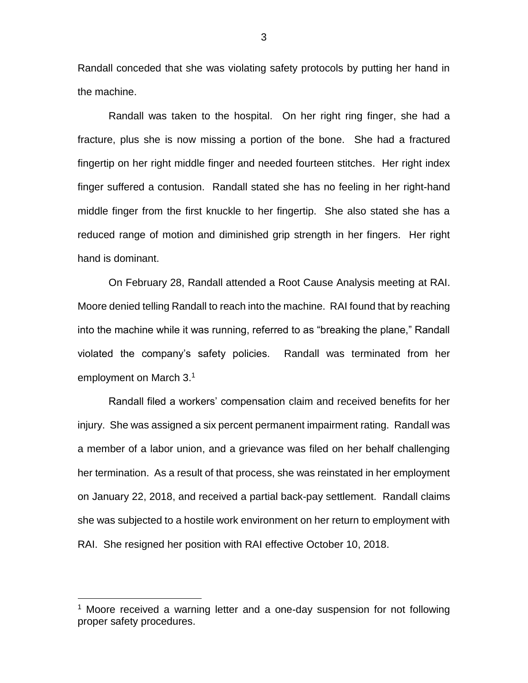Randall conceded that she was violating safety protocols by putting her hand in the machine.

Randall was taken to the hospital. On her right ring finger, she had a fracture, plus she is now missing a portion of the bone. She had a fractured fingertip on her right middle finger and needed fourteen stitches. Her right index finger suffered a contusion. Randall stated she has no feeling in her right-hand middle finger from the first knuckle to her fingertip. She also stated she has a reduced range of motion and diminished grip strength in her fingers. Her right hand is dominant.

On February 28, Randall attended a Root Cause Analysis meeting at RAI. Moore denied telling Randall to reach into the machine. RAI found that by reaching into the machine while it was running, referred to as "breaking the plane," Randall violated the company's safety policies. Randall was terminated from her employment on March 3.<sup>1</sup>

Randall filed a workers' compensation claim and received benefits for her injury. She was assigned a six percent permanent impairment rating. Randall was a member of a labor union, and a grievance was filed on her behalf challenging her termination. As a result of that process, she was reinstated in her employment on January 22, 2018, and received a partial back-pay settlement. Randall claims she was subjected to a hostile work environment on her return to employment with RAI. She resigned her position with RAI effective October 10, 2018.

 $\overline{a}$ 

<sup>&</sup>lt;sup>1</sup> Moore received a warning letter and a one-day suspension for not following proper safety procedures.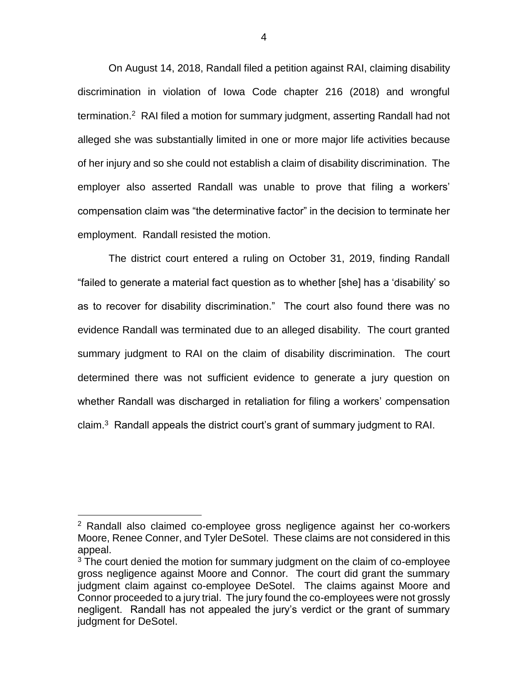On August 14, 2018, Randall filed a petition against RAI, claiming disability discrimination in violation of Iowa Code chapter 216 (2018) and wrongful termination.<sup>2</sup> RAI filed a motion for summary judgment, asserting Randall had not alleged she was substantially limited in one or more major life activities because of her injury and so she could not establish a claim of disability discrimination. The employer also asserted Randall was unable to prove that filing a workers' compensation claim was "the determinative factor" in the decision to terminate her employment. Randall resisted the motion.

The district court entered a ruling on October 31, 2019, finding Randall "failed to generate a material fact question as to whether [she] has a 'disability' so as to recover for disability discrimination." The court also found there was no evidence Randall was terminated due to an alleged disability. The court granted summary judgment to RAI on the claim of disability discrimination. The court determined there was not sufficient evidence to generate a jury question on whether Randall was discharged in retaliation for filing a workers' compensation claim. $3$  Randall appeals the district court's grant of summary judgment to RAI.

 $\overline{a}$ 

<sup>&</sup>lt;sup>2</sup> Randall also claimed co-employee gross negligence against her co-workers Moore, Renee Conner, and Tyler DeSotel. These claims are not considered in this appeal.

<sup>&</sup>lt;sup>3</sup> The court denied the motion for summary judgment on the claim of co-employee gross negligence against Moore and Connor. The court did grant the summary judgment claim against co-employee DeSotel. The claims against Moore and Connor proceeded to a jury trial. The jury found the co-employees were not grossly negligent. Randall has not appealed the jury's verdict or the grant of summary judgment for DeSotel.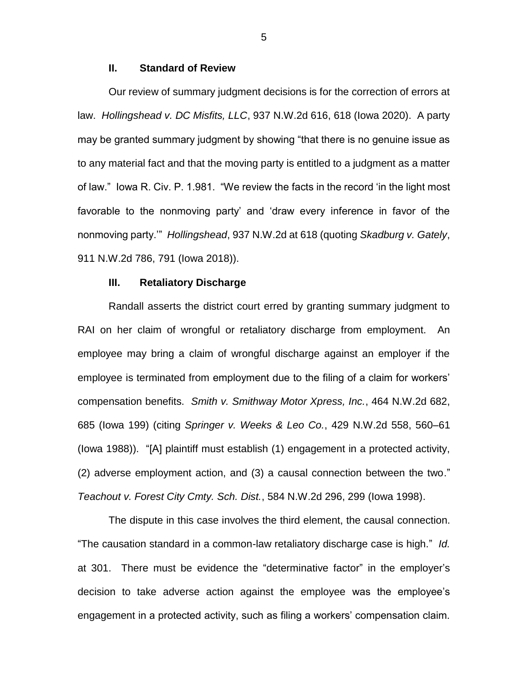### **II. Standard of Review**

Our review of summary judgment decisions is for the correction of errors at law. *Hollingshead v. DC Misfits, LLC*, 937 N.W.2d 616, 618 (Iowa 2020). A party may be granted summary judgment by showing "that there is no genuine issue as to any material fact and that the moving party is entitled to a judgment as a matter of law." Iowa R. Civ. P. 1.981. "We review the facts in the record 'in the light most favorable to the nonmoving party' and 'draw every inference in favor of the nonmoving party.'" *Hollingshead*, 937 N.W.2d at 618 (quoting *Skadburg v. Gately*, 911 N.W.2d 786, 791 (Iowa 2018)).

## **III. Retaliatory Discharge**

Randall asserts the district court erred by granting summary judgment to RAI on her claim of wrongful or retaliatory discharge from employment. An employee may bring a claim of wrongful discharge against an employer if the employee is terminated from employment due to the filing of a claim for workers' compensation benefits. *Smith v. Smithway Motor Xpress, Inc.*, 464 N.W.2d 682, 685 (Iowa 199) (citing *Springer v. Weeks & Leo Co.*, 429 N.W.2d 558, 560–61 (Iowa 1988)). "[A] plaintiff must establish (1) engagement in a protected activity, (2) adverse employment action, and (3) a causal connection between the two." *Teachout v. Forest City Cmty. Sch. Dist.*, 584 N.W.2d 296, 299 (Iowa 1998).

The dispute in this case involves the third element, the causal connection. "The causation standard in a common-law retaliatory discharge case is high." *Id.* at 301. There must be evidence the "determinative factor" in the employer's decision to take adverse action against the employee was the employee's engagement in a protected activity, such as filing a workers' compensation claim.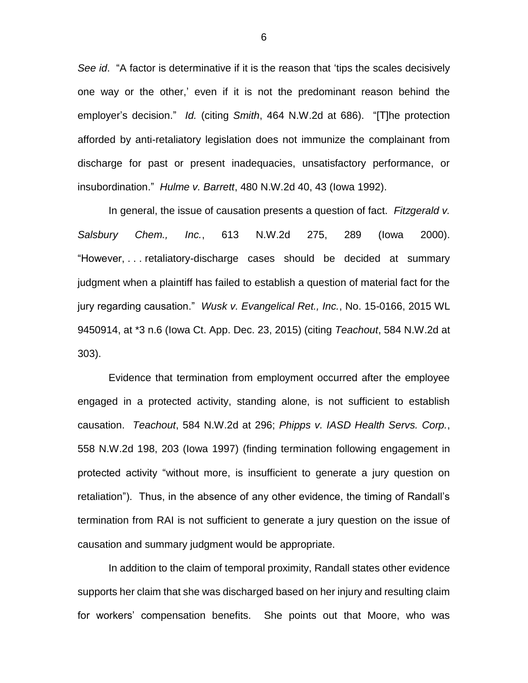*See id*. "A factor is determinative if it is the reason that 'tips the scales decisively one way or the other,' even if it is not the predominant reason behind the employer's decision." *Id.* (citing *Smith*, 464 N.W.2d at 686). "[T]he protection afforded by anti-retaliatory legislation does not immunize the complainant from discharge for past or present inadequacies, unsatisfactory performance, or insubordination." *Hulme v. Barrett*, 480 N.W.2d 40, 43 (Iowa 1992).

In general, the issue of causation presents a question of fact. *Fitzgerald v. Salsbury Chem., Inc.*, 613 N.W.2d 275, 289 (Iowa 2000). "However, . . . retaliatory-discharge cases should be decided at summary judgment when a plaintiff has failed to establish a question of material fact for the jury regarding causation." *Wusk v. Evangelical Ret., Inc.*, No. 15-0166, 2015 WL 9450914, at \*3 n.6 (Iowa Ct. App. Dec. 23, 2015) (citing *Teachout*, 584 N.W.2d at 303).

Evidence that termination from employment occurred after the employee engaged in a protected activity, standing alone, is not sufficient to establish causation. *Teachout*, 584 N.W.2d at 296; *Phipps v. IASD Health Servs. Corp.*, 558 N.W.2d 198, 203 (Iowa 1997) (finding termination following engagement in protected activity "without more, is insufficient to generate a jury question on retaliation"). Thus, in the absence of any other evidence, the timing of Randall's termination from RAI is not sufficient to generate a jury question on the issue of causation and summary judgment would be appropriate.

In addition to the claim of temporal proximity, Randall states other evidence supports her claim that she was discharged based on her injury and resulting claim for workers' compensation benefits. She points out that Moore, who was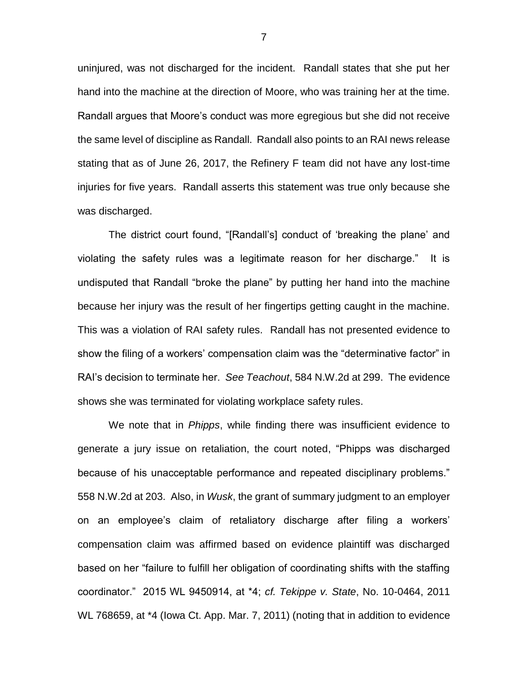uninjured, was not discharged for the incident. Randall states that she put her hand into the machine at the direction of Moore, who was training her at the time. Randall argues that Moore's conduct was more egregious but she did not receive the same level of discipline as Randall. Randall also points to an RAI news release stating that as of June 26, 2017, the Refinery F team did not have any lost-time injuries for five years. Randall asserts this statement was true only because she was discharged.

The district court found, "[Randall's] conduct of 'breaking the plane' and violating the safety rules was a legitimate reason for her discharge." It is undisputed that Randall "broke the plane" by putting her hand into the machine because her injury was the result of her fingertips getting caught in the machine. This was a violation of RAI safety rules. Randall has not presented evidence to show the filing of a workers' compensation claim was the "determinative factor" in RAI's decision to terminate her. *See Teachout*, 584 N.W.2d at 299. The evidence shows she was terminated for violating workplace safety rules.

We note that in *Phipps*, while finding there was insufficient evidence to generate a jury issue on retaliation, the court noted, "Phipps was discharged because of his unacceptable performance and repeated disciplinary problems." 558 N.W.2d at 203. Also, in *Wusk*, the grant of summary judgment to an employer on an employee's claim of retaliatory discharge after filing a workers' compensation claim was affirmed based on evidence plaintiff was discharged based on her "failure to fulfill her obligation of coordinating shifts with the staffing coordinator." 2015 WL 9450914, at \*4; *cf. Tekippe v. State*, No. 10-0464, 2011 WL 768659, at \*4 (Iowa Ct. App. Mar. 7, 2011) (noting that in addition to evidence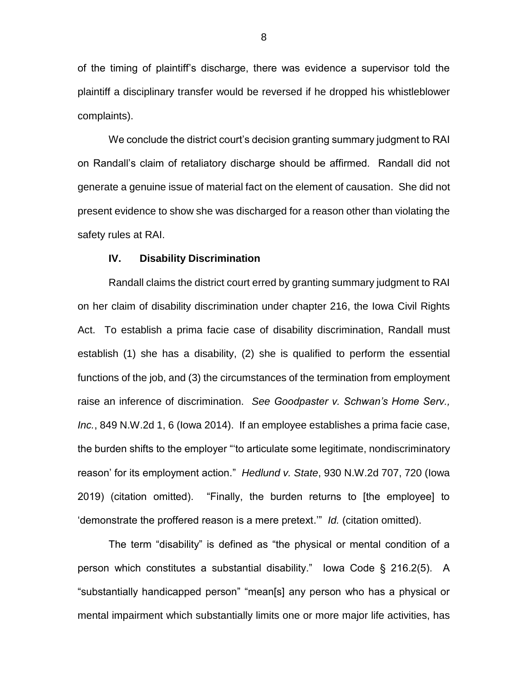of the timing of plaintiff's discharge, there was evidence a supervisor told the plaintiff a disciplinary transfer would be reversed if he dropped his whistleblower complaints).

We conclude the district court's decision granting summary judgment to RAI on Randall's claim of retaliatory discharge should be affirmed. Randall did not generate a genuine issue of material fact on the element of causation. She did not present evidence to show she was discharged for a reason other than violating the safety rules at RAI.

#### **IV. Disability Discrimination**

Randall claims the district court erred by granting summary judgment to RAI on her claim of disability discrimination under chapter 216, the Iowa Civil Rights Act. To establish a prima facie case of disability discrimination, Randall must establish (1) she has a disability, (2) she is qualified to perform the essential functions of the job, and (3) the circumstances of the termination from employment raise an inference of discrimination. *See Goodpaster v. Schwan's Home Serv., Inc.*, 849 N.W.2d 1, 6 (Iowa 2014). If an employee establishes a prima facie case, the burden shifts to the employer "'to articulate some legitimate, nondiscriminatory reason' for its employment action." *Hedlund v. State*, 930 N.W.2d 707, 720 (Iowa 2019) (citation omitted). "Finally, the burden returns to [the employee] to 'demonstrate the proffered reason is a mere pretext.'" *Id.* (citation omitted).

The term "disability" is defined as "the physical or mental condition of a person which constitutes a substantial disability." Iowa Code § 216.2(5). A "substantially handicapped person" "mean[s] any person who has a physical or mental impairment which substantially limits one or more major life activities, has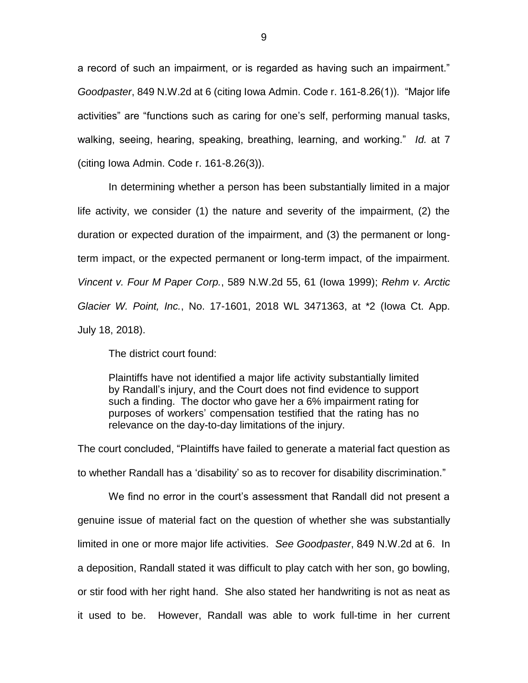a record of such an impairment, or is regarded as having such an impairment." *Goodpaster*, 849 N.W.2d at 6 (citing Iowa Admin. Code r. 161-8.26(1)). "Major life activities" are "functions such as caring for one's self, performing manual tasks, walking, seeing, hearing, speaking, breathing, learning, and working." *Id.* at 7 (citing Iowa Admin. Code r. 161-8.26(3)).

In determining whether a person has been substantially limited in a major life activity, we consider (1) the nature and severity of the impairment, (2) the duration or expected duration of the impairment, and (3) the permanent or longterm impact, or the expected permanent or long-term impact, of the impairment. *Vincent v. Four M Paper Corp.*, 589 N.W.2d 55, 61 (Iowa 1999); *Rehm v. Arctic Glacier W. Point, Inc.*, No. 17-1601, 2018 WL 3471363, at \*2 (Iowa Ct. App. July 18, 2018).

The district court found:

Plaintiffs have not identified a major life activity substantially limited by Randall's injury, and the Court does not find evidence to support such a finding. The doctor who gave her a 6% impairment rating for purposes of workers' compensation testified that the rating has no relevance on the day-to-day limitations of the injury.

The court concluded, "Plaintiffs have failed to generate a material fact question as to whether Randall has a 'disability' so as to recover for disability discrimination."

We find no error in the court's assessment that Randall did not present a genuine issue of material fact on the question of whether she was substantially limited in one or more major life activities. *See Goodpaster*, 849 N.W.2d at 6. In a deposition, Randall stated it was difficult to play catch with her son, go bowling, or stir food with her right hand. She also stated her handwriting is not as neat as it used to be. However, Randall was able to work full-time in her current